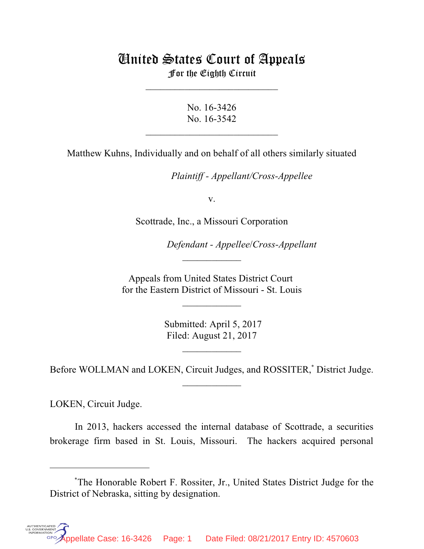## United States Court of Appeals For the Eighth Circuit

\_\_\_\_\_\_\_\_\_\_\_\_\_\_\_\_\_\_\_\_\_\_\_\_\_\_\_

No. 16-3426 No. 16-3542

 $\mathcal{L}_\text{max}$  , which is a set of the set of the set of the set of the set of the set of the set of the set of the set of the set of the set of the set of the set of the set of the set of the set of the set of the set of

Matthew Kuhns, Individually and on behalf of all others similarly situated

*Plaintiff - Appellant/Cross-Appellee* 

v.

Scottrade, Inc., a Missouri Corporation

*Defendant - Appellee/Cross-Appellant* 

Appeals from United States District Court for the Eastern District of Missouri - St. Louis

 $\overline{\phantom{a}}$  , where  $\overline{\phantom{a}}$ 

 $\frac{1}{2}$ 

 Submitted: April 5, 2017 Filed: August 21, 2017

Before WOLLMAN and LOKEN, Circuit Judges, and ROSSITER,<sup>\*</sup> District Judge.  $\frac{1}{2}$ 

 $\frac{1}{2}$ 

LOKEN, Circuit Judge.

**UTHENTICA** 

In 2013, hackers accessed the internal database of Scottrade, a securities brokerage firm based in St. Louis, Missouri. The hackers acquired personal

The Honorable Robert F. Rossiter, Jr., United States District Judge for the \* District of Nebraska, sitting by designation.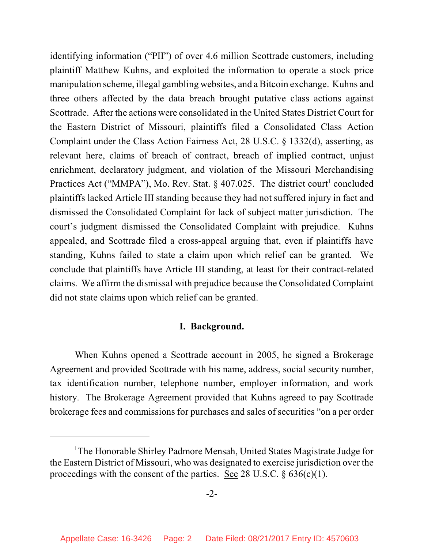identifying information ("PII") of over 4.6 million Scottrade customers, including plaintiff Matthew Kuhns, and exploited the information to operate a stock price manipulation scheme, illegal gambling websites, and a Bitcoin exchange. Kuhns and three others affected by the data breach brought putative class actions against Scottrade. After the actions were consolidated in the United States District Court for the Eastern District of Missouri, plaintiffs filed a Consolidated Class Action Complaint under the Class Action Fairness Act, 28 U.S.C. § 1332(d), asserting, as relevant here, claims of breach of contract, breach of implied contract, unjust enrichment, declaratory judgment, and violation of the Missouri Merchandising Practices Act ("MMPA"), Mo. Rev. Stat.  $\S$  407.025. The district court<sup>1</sup> concluded plaintiffs lacked Article III standing because they had not suffered injury in fact and dismissed the Consolidated Complaint for lack of subject matter jurisdiction. The court's judgment dismissed the Consolidated Complaint with prejudice. Kuhns appealed, and Scottrade filed a cross-appeal arguing that, even if plaintiffs have standing, Kuhns failed to state a claim upon which relief can be granted. We conclude that plaintiffs have Article III standing, at least for their contract-related claims. We affirm the dismissal with prejudice because the Consolidated Complaint did not state claims upon which relief can be granted.

## **I. Background.**

When Kuhns opened a Scottrade account in 2005, he signed a Brokerage Agreement and provided Scottrade with his name, address, social security number, tax identification number, telephone number, employer information, and work history. The Brokerage Agreement provided that Kuhns agreed to pay Scottrade brokerage fees and commissions for purchases and sales of securities "on a per order

<sup>&</sup>lt;sup>1</sup>The Honorable Shirley Padmore Mensah, United States Magistrate Judge for the Eastern District of Missouri, who was designated to exercise jurisdiction over the proceedings with the consent of the parties. See 28 U.S.C.  $\S 636(c)(1)$ .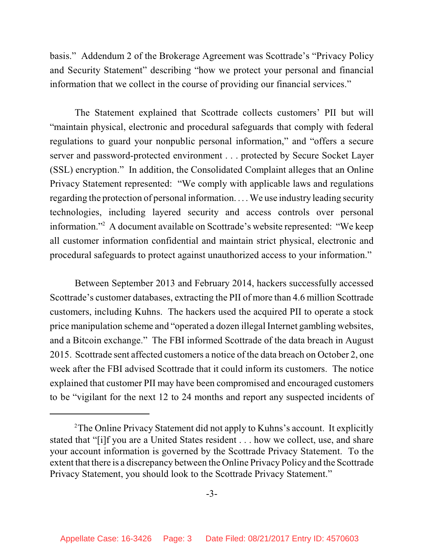basis." Addendum 2 of the Brokerage Agreement was Scottrade's "Privacy Policy and Security Statement" describing "how we protect your personal and financial information that we collect in the course of providing our financial services."

The Statement explained that Scottrade collects customers' PII but will "maintain physical, electronic and procedural safeguards that comply with federal regulations to guard your nonpublic personal information," and "offers a secure server and password-protected environment . . . protected by Secure Socket Layer (SSL) encryption." In addition, the Consolidated Complaint alleges that an Online Privacy Statement represented: "We comply with applicable laws and regulations regarding the protection of personal information. . . . We use industry leading security technologies, including layered security and access controls over personal information."<sup>2</sup> A document available on Scottrade's website represented: "We keep all customer information confidential and maintain strict physical, electronic and procedural safeguards to protect against unauthorized access to your information."

Between September 2013 and February 2014, hackers successfully accessed Scottrade's customer databases, extracting the PII of more than 4.6 million Scottrade customers, including Kuhns. The hackers used the acquired PII to operate a stock price manipulation scheme and "operated a dozen illegal Internet gambling websites, and a Bitcoin exchange." The FBI informed Scottrade of the data breach in August 2015. Scottrade sent affected customers a notice of the data breach on October 2, one week after the FBI advised Scottrade that it could inform its customers. The notice explained that customer PII may have been compromised and encouraged customers to be "vigilant for the next 12 to 24 months and report any suspected incidents of

<sup>&</sup>lt;sup>2</sup>The Online Privacy Statement did not apply to Kuhns's account. It explicitly stated that "[i]f you are a United States resident . . . how we collect, use, and share your account information is governed by the Scottrade Privacy Statement. To the extent that there is a discrepancy between the Online Privacy Policy and the Scottrade Privacy Statement, you should look to the Scottrade Privacy Statement."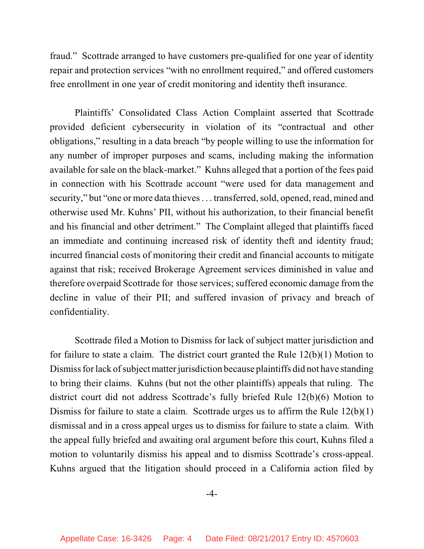fraud." Scottrade arranged to have customers pre-qualified for one year of identity repair and protection services "with no enrollment required," and offered customers free enrollment in one year of credit monitoring and identity theft insurance.

Plaintiffs' Consolidated Class Action Complaint asserted that Scottrade provided deficient cybersecurity in violation of its "contractual and other obligations," resulting in a data breach "by people willing to use the information for any number of improper purposes and scams, including making the information available for sale on the black-market." Kuhns alleged that a portion of the fees paid in connection with his Scottrade account "were used for data management and security," but "one or more data thieves . . . transferred, sold, opened, read, mined and otherwise used Mr. Kuhns' PII, without his authorization, to their financial benefit and his financial and other detriment." The Complaint alleged that plaintiffs faced an immediate and continuing increased risk of identity theft and identity fraud; incurred financial costs of monitoring their credit and financial accounts to mitigate against that risk; received Brokerage Agreement services diminished in value and therefore overpaid Scottrade for those services; suffered economic damage from the decline in value of their PII; and suffered invasion of privacy and breach of confidentiality.

Scottrade filed a Motion to Dismiss for lack of subject matter jurisdiction and for failure to state a claim. The district court granted the Rule 12(b)(1) Motion to Dismiss for lack of subject matter jurisdiction because plaintiffs did not have standing to bring their claims. Kuhns (but not the other plaintiffs) appeals that ruling. The district court did not address Scottrade's fully briefed Rule 12(b)(6) Motion to Dismiss for failure to state a claim. Scottrade urges us to affirm the Rule 12(b)(1) dismissal and in a cross appeal urges us to dismiss for failure to state a claim. With the appeal fully briefed and awaiting oral argument before this court, Kuhns filed a motion to voluntarily dismiss his appeal and to dismiss Scottrade's cross-appeal. Kuhns argued that the litigation should proceed in a California action filed by

-4-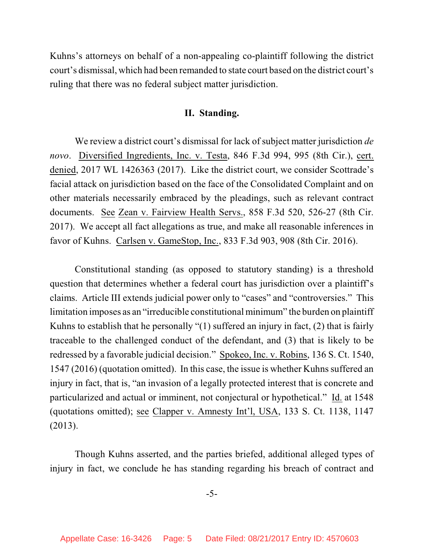Kuhns's attorneys on behalf of a non-appealing co-plaintiff following the district court's dismissal, which had been remanded to state court based on the district court's ruling that there was no federal subject matter jurisdiction.

## **II. Standing.**

We review a district court's dismissal for lack of subject matter jurisdiction *de novo*. Diversified Ingredients, Inc. v. Testa, 846 F.3d 994, 995 (8th Cir.), cert. denied, 2017 WL 1426363 (2017). Like the district court, we consider Scottrade's facial attack on jurisdiction based on the face of the Consolidated Complaint and on other materials necessarily embraced by the pleadings, such as relevant contract documents. See Zean v. Fairview Health Servs., 858 F.3d 520, 526-27 (8th Cir. 2017). We accept all fact allegations as true, and make all reasonable inferences in favor of Kuhns. Carlsen v. GameStop, Inc., 833 F.3d 903, 908 (8th Cir. 2016).

Constitutional standing (as opposed to statutory standing) is a threshold question that determines whether a federal court has jurisdiction over a plaintiff's claims. Article III extends judicial power only to "cases" and "controversies." This limitation imposes as an "irreducible constitutional minimum" the burden on plaintiff Kuhns to establish that he personally "(1) suffered an injury in fact, (2) that is fairly traceable to the challenged conduct of the defendant, and (3) that is likely to be redressed by a favorable judicial decision." Spokeo, Inc. v. Robins, 136 S. Ct. 1540, 1547 (2016) (quotation omitted). In this case, the issue is whether Kuhns suffered an injury in fact, that is, "an invasion of a legally protected interest that is concrete and particularized and actual or imminent, not conjectural or hypothetical." Id. at 1548 (quotations omitted); see Clapper v. Amnesty Int'l, USA, 133 S. Ct. 1138, 1147 (2013).

Though Kuhns asserted, and the parties briefed, additional alleged types of injury in fact, we conclude he has standing regarding his breach of contract and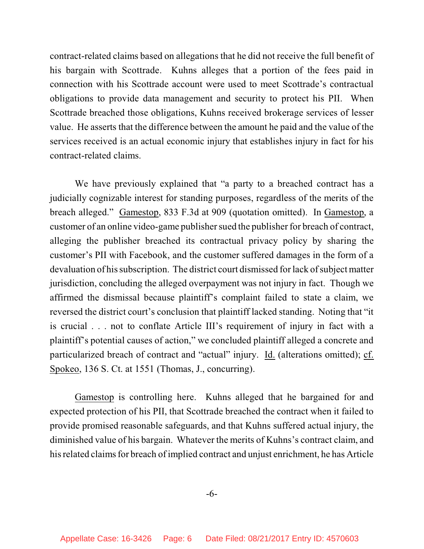contract-related claims based on allegations that he did not receive the full benefit of his bargain with Scottrade. Kuhns alleges that a portion of the fees paid in connection with his Scottrade account were used to meet Scottrade's contractual obligations to provide data management and security to protect his PII. When Scottrade breached those obligations, Kuhns received brokerage services of lesser value. He asserts that the difference between the amount he paid and the value of the services received is an actual economic injury that establishes injury in fact for his contract-related claims.

We have previously explained that "a party to a breached contract has a judicially cognizable interest for standing purposes, regardless of the merits of the breach alleged." Gamestop, 833 F.3d at 909 (quotation omitted). In Gamestop, a customer of an online video-game publisher sued the publisher for breach of contract, alleging the publisher breached its contractual privacy policy by sharing the customer's PII with Facebook, and the customer suffered damages in the form of a devaluation of his subscription. The district court dismissed for lack of subject matter jurisdiction, concluding the alleged overpayment was not injury in fact. Though we affirmed the dismissal because plaintiff's complaint failed to state a claim, we reversed the district court's conclusion that plaintiff lacked standing. Noting that "it is crucial . . . not to conflate Article III's requirement of injury in fact with a plaintiff's potential causes of action," we concluded plaintiff alleged a concrete and particularized breach of contract and "actual" injury. Id. (alterations omitted); cf. Spokeo, 136 S. Ct. at 1551 (Thomas, J., concurring).

Gamestop is controlling here. Kuhns alleged that he bargained for and expected protection of his PII, that Scottrade breached the contract when it failed to provide promised reasonable safeguards, and that Kuhns suffered actual injury, the diminished value of his bargain. Whatever the merits of Kuhns's contract claim, and his related claims for breach of implied contract and unjust enrichment, he has Article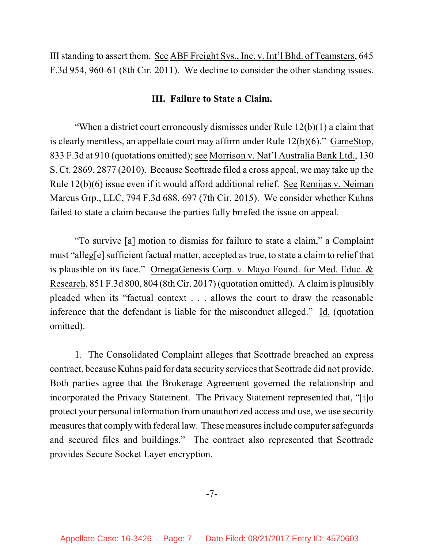III standing to assert them. See ABF Freight Sys., Inc. v. Int'l Bhd. of Teamsters, 645 F.3d 954, 960-61 (8th Cir. 2011). We decline to consider the other standing issues.

## **III. Failure to State a Claim.**

"When a district court erroneously dismisses under Rule 12(b)(1) a claim that is clearly meritless, an appellate court may affirm under Rule 12(b)(6)." GameStop, 833 F.3d at 910 (quotations omitted); see Morrison v. Nat'l Australia Bank Ltd., 130 S. Ct. 2869, 2877 (2010). Because Scottrade filed a cross appeal, we may take up the Rule 12(b)(6) issue even if it would afford additional relief. See Remijas v. Neiman Marcus Grp., LLC, 794 F.3d 688, 697 (7th Cir. 2015). We consider whether Kuhns failed to state a claim because the parties fully briefed the issue on appeal.

"To survive [a] motion to dismiss for failure to state a claim," a Complaint must "alleg[e] sufficient factual matter, accepted as true, to state a claim to relief that is plausible on its face." OmegaGenesis Corp. v. Mayo Found. for Med. Educ. & Research, 851 F.3d 800, 804 (8th Cir. 2017) (quotation omitted). A claimis plausibly pleaded when its "factual context . . . allows the court to draw the reasonable inference that the defendant is liable for the misconduct alleged." Id. (quotation omitted).

1. The Consolidated Complaint alleges that Scottrade breached an express contract, because Kuhns paid for data security services that Scottrade did not provide. Both parties agree that the Brokerage Agreement governed the relationship and incorporated the Privacy Statement. The Privacy Statement represented that, "[t]o protect your personal information from unauthorized access and use, we use security measures that comply with federal law. These measures include computer safeguards and secured files and buildings." The contract also represented that Scottrade provides Secure Socket Layer encryption.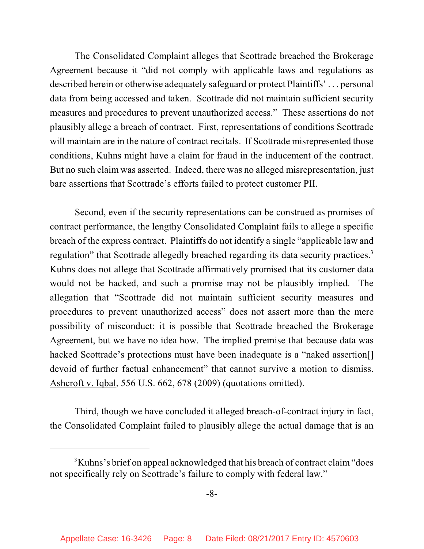The Consolidated Complaint alleges that Scottrade breached the Brokerage Agreement because it "did not comply with applicable laws and regulations as described herein or otherwise adequately safeguard or protect Plaintiffs' . . . personal data from being accessed and taken. Scottrade did not maintain sufficient security measures and procedures to prevent unauthorized access." These assertions do not plausibly allege a breach of contract. First, representations of conditions Scottrade will maintain are in the nature of contract recitals. If Scottrade misrepresented those conditions, Kuhns might have a claim for fraud in the inducement of the contract. But no such claim was asserted. Indeed, there was no alleged misrepresentation, just bare assertions that Scottrade's efforts failed to protect customer PII.

Second, even if the security representations can be construed as promises of contract performance, the lengthy Consolidated Complaint fails to allege a specific breach of the express contract. Plaintiffs do not identify a single "applicable law and regulation" that Scottrade allegedly breached regarding its data security practices.<sup>3</sup> Kuhns does not allege that Scottrade affirmatively promised that its customer data would not be hacked, and such a promise may not be plausibly implied. The allegation that "Scottrade did not maintain sufficient security measures and procedures to prevent unauthorized access" does not assert more than the mere possibility of misconduct: it is possible that Scottrade breached the Brokerage Agreement, but we have no idea how. The implied premise that because data was hacked Scottrade's protections must have been inadequate is a "naked assertion. devoid of further factual enhancement" that cannot survive a motion to dismiss. Ashcroft v. Iqbal, 556 U.S. 662, 678 (2009) (quotations omitted).

Third, though we have concluded it alleged breach-of-contract injury in fact, the Consolidated Complaint failed to plausibly allege the actual damage that is an

<sup>&</sup>lt;sup>3</sup>Kuhns's brief on appeal acknowledged that his breach of contract claim "does not specifically rely on Scottrade's failure to comply with federal law."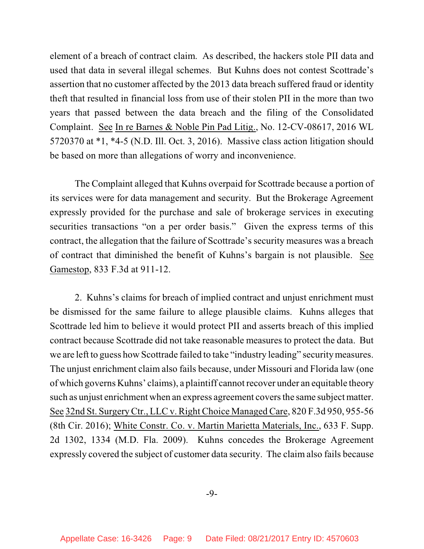element of a breach of contract claim. As described, the hackers stole PII data and used that data in several illegal schemes. But Kuhns does not contest Scottrade's assertion that no customer affected by the 2013 data breach suffered fraud or identity theft that resulted in financial loss from use of their stolen PII in the more than two years that passed between the data breach and the filing of the Consolidated Complaint. See In re Barnes & Noble Pin Pad Litig., No. 12-CV-08617, 2016 WL 5720370 at \*1, \*4-5 (N.D. Ill. Oct. 3, 2016). Massive class action litigation should be based on more than allegations of worry and inconvenience.

The Complaint alleged that Kuhns overpaid for Scottrade because a portion of its services were for data management and security. But the Brokerage Agreement expressly provided for the purchase and sale of brokerage services in executing securities transactions "on a per order basis." Given the express terms of this contract, the allegation that the failure of Scottrade's security measures was a breach of contract that diminished the benefit of Kuhns's bargain is not plausible. See Gamestop, 833 F.3d at 911-12.

2. Kuhns's claims for breach of implied contract and unjust enrichment must be dismissed for the same failure to allege plausible claims. Kuhns alleges that Scottrade led him to believe it would protect PII and asserts breach of this implied contract because Scottrade did not take reasonable measures to protect the data. But we are left to guess how Scottrade failed to take "industry leading" securitymeasures. The unjust enrichment claim also fails because, under Missouri and Florida law (one of which governs Kuhns' claims), a plaintiff cannot recover under an equitable theory such as unjust enrichment when an express agreement covers the same subject matter. See 32nd St. Surgery Ctr., LLC v. Right Choice Managed Care, 820 F.3d 950, 955-56 (8th Cir. 2016); White Constr. Co. v. Martin Marietta Materials, Inc., 633 F. Supp. 2d 1302, 1334 (M.D. Fla. 2009). Kuhns concedes the Brokerage Agreement expressly covered the subject of customer data security. The claim also fails because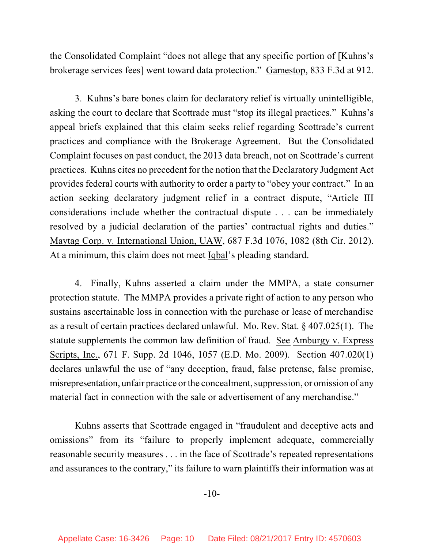the Consolidated Complaint "does not allege that any specific portion of [Kuhns's brokerage services fees] went toward data protection." Gamestop, 833 F.3d at 912.

3. Kuhns's bare bones claim for declaratory relief is virtually unintelligible, asking the court to declare that Scottrade must "stop its illegal practices." Kuhns's appeal briefs explained that this claim seeks relief regarding Scottrade's current practices and compliance with the Brokerage Agreement. But the Consolidated Complaint focuses on past conduct, the 2013 data breach, not on Scottrade's current practices. Kuhns cites no precedent for the notion that the Declaratory Judgment Act provides federal courts with authority to order a party to "obey your contract." In an action seeking declaratory judgment relief in a contract dispute, "Article III considerations include whether the contractual dispute . . . can be immediately resolved by a judicial declaration of the parties' contractual rights and duties." Maytag Corp. v. International Union, UAW, 687 F.3d 1076, 1082 (8th Cir. 2012). At a minimum, this claim does not meet Iqbal's pleading standard.

4. Finally, Kuhns asserted a claim under the MMPA, a state consumer protection statute. The MMPA provides a private right of action to any person who sustains ascertainable loss in connection with the purchase or lease of merchandise as a result of certain practices declared unlawful. Mo. Rev. Stat. § 407.025(1). The statute supplements the common law definition of fraud. See Amburgy v. Express Scripts, Inc., 671 F. Supp. 2d 1046, 1057 (E.D. Mo. 2009). Section 407.020(1) declares unlawful the use of "any deception, fraud, false pretense, false promise, misrepresentation, unfair practice or the concealment, suppression, or omission of any material fact in connection with the sale or advertisement of any merchandise."

Kuhns asserts that Scottrade engaged in "fraudulent and deceptive acts and omissions" from its "failure to properly implement adequate, commercially reasonable security measures . . . in the face of Scottrade's repeated representations and assurances to the contrary," its failure to warn plaintiffs their information was at